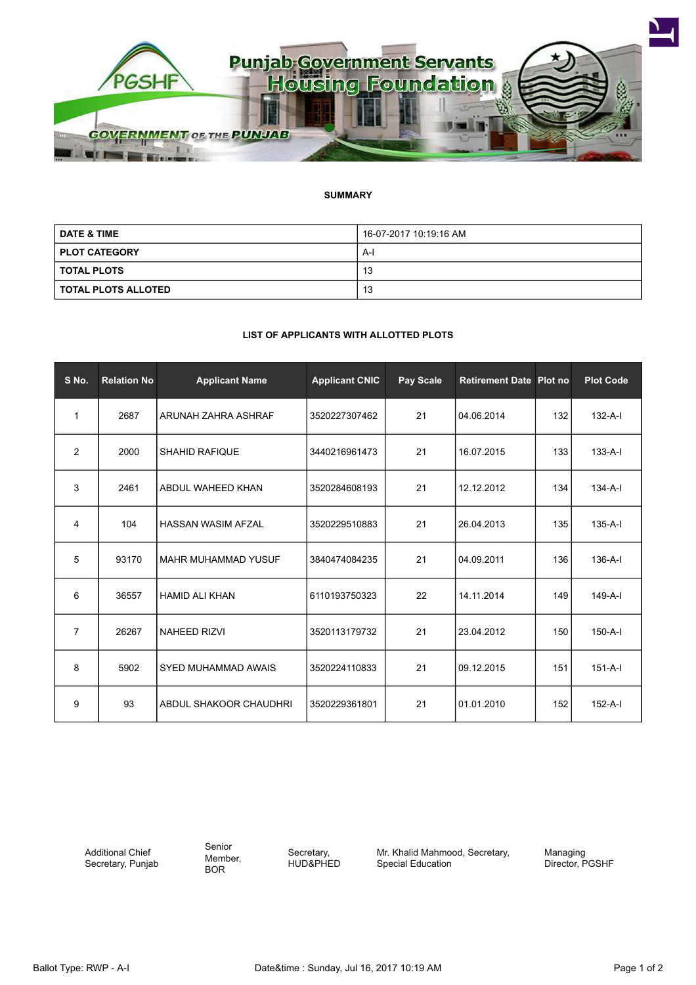

## **SUMMARY**

| <b>DATE &amp; TIME</b>     | 16-07-2017 10:19:16 AM |  |  |
|----------------------------|------------------------|--|--|
| <b>PLOT CATEGORY</b>       | A-l                    |  |  |
| <b>TOTAL PLOTS</b>         | 13                     |  |  |
| <b>TOTAL PLOTS ALLOTED</b> | 13                     |  |  |

## **LIST OF APPLICANTS WITH ALLOTTED PLOTS**

| S No.          | <b>Relation No</b> | <b>Applicant Name</b>      | <b>Applicant CNIC</b> | Pay Scale | <b>Retirement Date Plot no</b> |     | <b>Plot Code</b> |
|----------------|--------------------|----------------------------|-----------------------|-----------|--------------------------------|-----|------------------|
| 1              | 2687               | ARUNAH ZAHRA ASHRAF        | 3520227307462         | 21        | 04.06.2014                     | 132 | $132-A-I$        |
| $\overline{2}$ | 2000               | <b>SHAHID RAFIQUE</b>      | 3440216961473         | 21        | 16.07.2015                     | 133 | $133 - A - I$    |
| 3              | 2461               | ABDUL WAHEED KHAN          | 3520284608193         | 21        | 12.12.2012                     | 134 | $134-A-I$        |
| 4              | 104                | <b>HASSAN WASIM AFZAL</b>  | 3520229510883         | 21        | 26.04.2013                     | 135 | $135-A-I$        |
| 5              | 93170              | <b>MAHR MUHAMMAD YUSUF</b> | 3840474084235         | 21        | 04.09.2011                     | 136 | $136-A-I$        |
| 6              | 36557              | <b>HAMID ALI KHAN</b>      | 6110193750323         | 22        | 14.11.2014                     | 149 | $149-A-I$        |
| $\overline{7}$ | 26267              | <b>NAHEED RIZVI</b>        | 3520113179732         | 21        | 23.04.2012                     | 150 | $150 - A - I$    |
| 8              | 5902               | SYED MUHAMMAD AWAIS        | 3520224110833         | 21        | 09.12.2015                     | 151 | $151-A-I$        |
| 9              | 93                 | ABDUL SHAKOOR CHAUDHRI     | 3520229361801         | 21        | 01.01.2010                     | 152 | $152-A-I$        |

Additional Chief Secretary, Punjab Senior Member, BOR

Secretary, HUD&PHED Mr. Khalid Mahmood, Secretary, Special Education

Managing Director, PGSHF